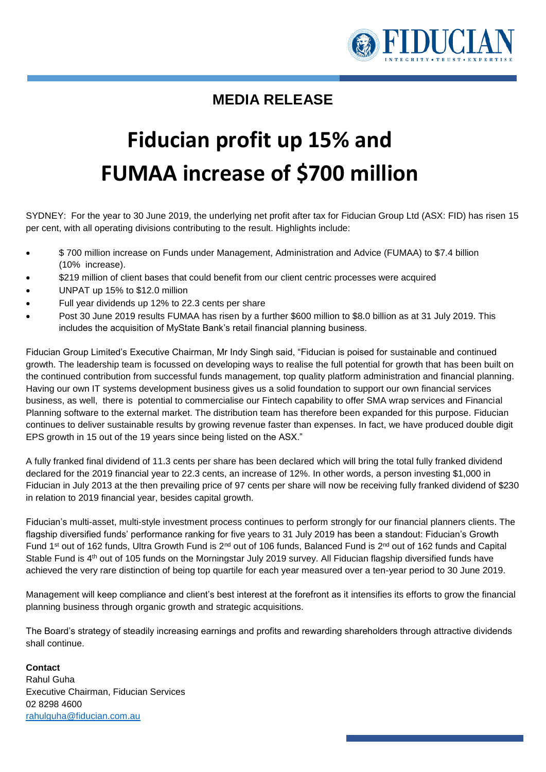

## **MEDIA RELEASE**

## **Fiducian profit up 15% and FUMAA increase of \$700 million**

SYDNEY: For the year to 30 June 2019, the underlying net profit after tax for Fiducian Group Ltd (ASX: FID) has risen 15 per cent, with all operating divisions contributing to the result. Highlights include:

- \$ 700 million increase on Funds under Management, Administration and Advice (FUMAA) to \$7.4 billion (10% increase).
- \$219 million of client bases that could benefit from our client centric processes were acquired
- UNPAT up 15% to \$12.0 million
- Full year dividends up 12% to 22.3 cents per share
- Post 30 June 2019 results FUMAA has risen by a further \$600 million to \$8.0 billion as at 31 July 2019. This includes the acquisition of MyState Bank's retail financial planning business.

Fiducian Group Limited's Executive Chairman, Mr Indy Singh said, "Fiducian is poised for sustainable and continued growth. The leadership team is focussed on developing ways to realise the full potential for growth that has been built on the continued contribution from successful funds management, top quality platform administration and financial planning. Having our own IT systems development business gives us a solid foundation to support our own financial services business, as well, there is potential to commercialise our Fintech capability to offer SMA wrap services and Financial Planning software to the external market. The distribution team has therefore been expanded for this purpose. Fiducian continues to deliver sustainable results by growing revenue faster than expenses. In fact, we have produced double digit EPS growth in 15 out of the 19 years since being listed on the ASX."

A fully franked final dividend of 11.3 cents per share has been declared which will bring the total fully franked dividend declared for the 2019 financial year to 22.3 cents, an increase of 12%. In other words, a person investing \$1,000 in Fiducian in July 2013 at the then prevailing price of 97 cents per share will now be receiving fully franked dividend of \$230 in relation to 2019 financial year, besides capital growth.

Fiducian's multi-asset, multi-style investment process continues to perform strongly for our financial planners clients. The flagship diversified funds' performance ranking for five years to 31 July 2019 has been a standout: Fiducian's Growth Fund 1<sup>st</sup> out of 162 funds, Ultra Growth Fund is 2<sup>nd</sup> out of 106 funds, Balanced Fund is 2<sup>nd</sup> out of 162 funds and Capital Stable Fund is 4<sup>th</sup> out of 105 funds on the Morningstar July 2019 survey. All Fiducian flagship diversified funds have achieved the very rare distinction of being top quartile for each year measured over a ten-year period to 30 June 2019.

Management will keep compliance and client's best interest at the forefront as it intensifies its efforts to grow the financial planning business through organic growth and strategic acquisitions.

The Board's strategy of steadily increasing earnings and profits and rewarding shareholders through attractive dividends shall continue.

## **Contact**

Rahul Guha Executive Chairman, Fiducian Services 02 8298 4600 [rahulguha@fiducian.com.au](mailto:rahulguha@fiducian.com.au)